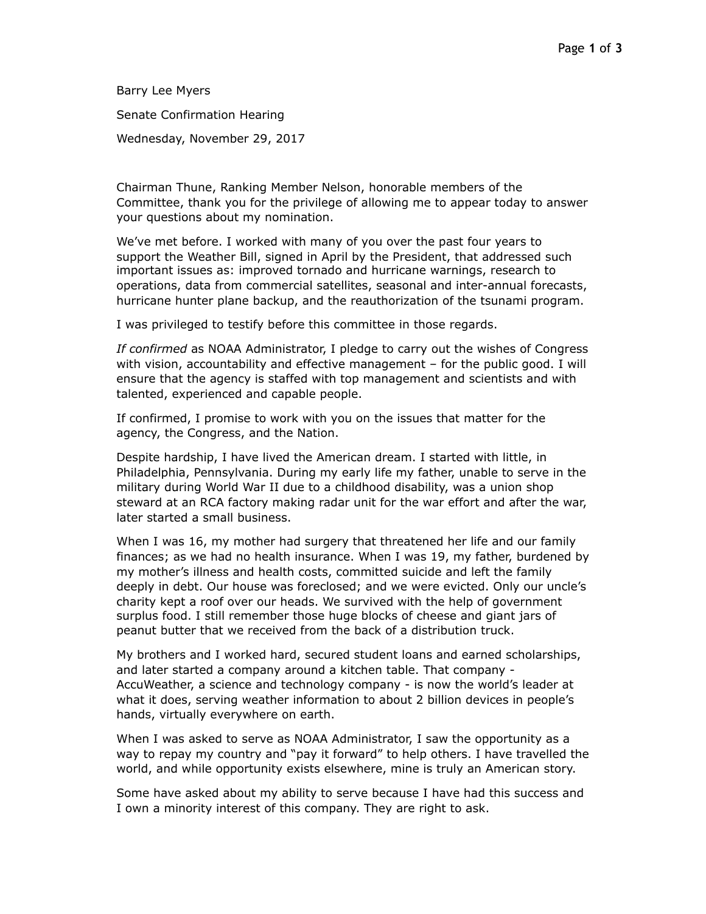Barry Lee Myers

Senate Confirmation Hearing

Wednesday, November 29, 2017

Chairman Thune, Ranking Member Nelson, honorable members of the Committee, thank you for the privilege of allowing me to appear today to answer your questions about my nomination.

We've met before. I worked with many of you over the past four years to support the Weather Bill, signed in April by the President, that addressed such important issues as: improved tornado and hurricane warnings, research to operations, data from commercial satellites, seasonal and inter-annual forecasts, hurricane hunter plane backup, and the reauthorization of the tsunami program.

I was privileged to testify before this committee in those regards.

*If confirmed* as NOAA Administrator, I pledge to carry out the wishes of Congress with vision, accountability and effective management – for the public good. I will ensure that the agency is staffed with top management and scientists and with talented, experienced and capable people.

If confirmed, I promise to work with you on the issues that matter for the agency, the Congress, and the Nation.

Despite hardship, I have lived the American dream. I started with little, in Philadelphia, Pennsylvania. During my early life my father, unable to serve in the military during World War II due to a childhood disability, was a union shop steward at an RCA factory making radar unit for the war effort and after the war, later started a small business.

When I was 16, my mother had surgery that threatened her life and our family finances; as we had no health insurance. When I was 19, my father, burdened by my mother's illness and health costs, committed suicide and left the family deeply in debt. Our house was foreclosed; and we were evicted. Only our uncle's charity kept a roof over our heads. We survived with the help of government surplus food. I still remember those huge blocks of cheese and giant jars of peanut butter that we received from the back of a distribution truck.

My brothers and I worked hard, secured student loans and earned scholarships, and later started a company around a kitchen table. That company - AccuWeather, a science and technology company - is now the world's leader at what it does, serving weather information to about 2 billion devices in people's hands, virtually everywhere on earth.

When I was asked to serve as NOAA Administrator, I saw the opportunity as a way to repay my country and "pay it forward" to help others. I have travelled the world, and while opportunity exists elsewhere, mine is truly an American story.

Some have asked about my ability to serve because I have had this success and I own a minority interest of this company. They are right to ask.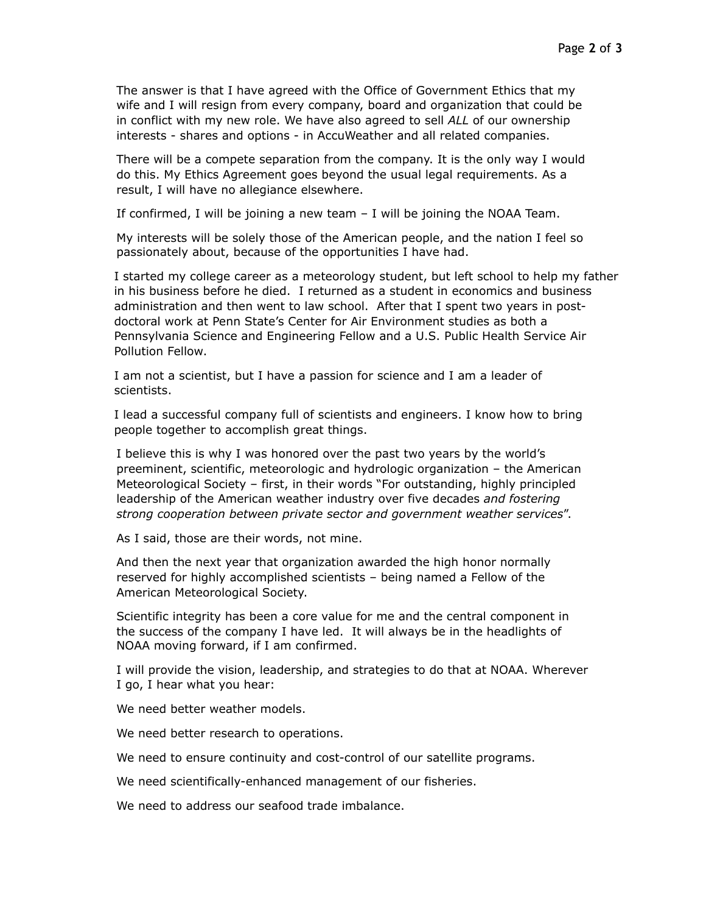The answer is that I have agreed with the Office of Government Ethics that my wife and I will resign from every company, board and organization that could be in conflict with my new role. We have also agreed to sell *ALL* of our ownership interests - shares and options - in AccuWeather and all related companies.

There will be a compete separation from the company. It is the only way I would do this. My Ethics Agreement goes beyond the usual legal requirements. As a result, I will have no allegiance elsewhere.

If confirmed, I will be joining a new team – I will be joining the NOAA Team.

My interests will be solely those of the American people, and the nation I feel so passionately about, because of the opportunities I have had.

I started my college career as a meteorology student, but left school to help my father in his business before he died. I returned as a student in economics and business administration and then went to law school. After that I spent two years in postdoctoral work at Penn State's Center for Air Environment studies as both a Pennsylvania Science and Engineering Fellow and a U.S. Public Health Service Air Pollution Fellow.

I am not a scientist, but I have a passion for science and I am a leader of scientists.

I lead a successful company full of scientists and engineers. I know how to bring people together to accomplish great things.

I believe this is why I was honored over the past two years by the world's preeminent, scientific, meteorologic and hydrologic organization – the American Meteorological Society – first, in their words "For outstanding, highly principled leadership of the American weather industry over five decades *and fostering strong cooperation between private sector and government weather services*".

As I said, those are their words, not mine.

And then the next year that organization awarded the high honor normally reserved for highly accomplished scientists – being named a Fellow of the American Meteorological Society.

Scientific integrity has been a core value for me and the central component in the success of the company I have led. It will always be in the headlights of NOAA moving forward, if I am confirmed.

I will provide the vision, leadership, and strategies to do that at NOAA. Wherever I go, I hear what you hear:

We need better weather models.

We need better research to operations.

We need to ensure continuity and cost-control of our satellite programs.

We need scientifically-enhanced management of our fisheries.

We need to address our seafood trade imbalance.